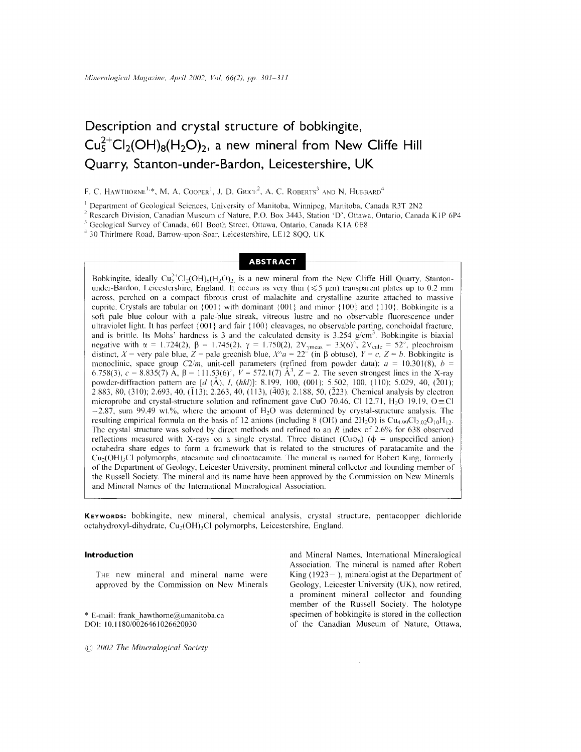# **Description and crystal structure of bobkingite,**  $Cu<sup>2+</sup><sub>5</sub>Cl<sub>2</sub>(OH)<sub>8</sub>(H<sub>2</sub>O)<sub>2</sub>$ , a new mineral from New Cliffe Hill **Quarry, Stanton-under-Bardon, Leicestershire, UK**

F. C. Hawthorne<sup>1,</sup>\*, M. A. Cooper<sup>1</sup>, J. D. Grice<sup>2</sup>, A. C. Roberts<sup>3</sup> and N. Hubbard<sup>4</sup>

<sup>1</sup> Department of Geological Sciences, University of Manitoba, Winnipeg, Manitoba, Canada R3T 2N2

<sup>2</sup> Research Division, Canadian Museum of Nature, P.O. Box 3443, Station 'D', Ottawa, Ontario, Canada KIP 6P4

<sup>3</sup> Geological Survey of Canada, 601 Booth Street, Ottawa, Ontario, Canada K1A 0E8

<sup>4</sup> 30 Thirlmere Road, Barrow-upon-Soar, Leicestershire, LE12 8QQ, UK

# **ABSTRACT**

Bobkingite, ideally  $Cu_5^{2+}Cl_2(OH)_8(H_2O)_2$  is a new mineral from the New Cliffe Hill Quarry, Stanton under-Bardon, Leicestershire, England. It occurs as very thin  $(\leq 5 \text{ }\mu\text{m})$  transparent plates up to 0.2 mm across, perchcd on a compact fibrous crust of malachite and crystalline azurite attached to massive cuprite. Crystals are tabular on  $\{001\}$  with dominant  $\{001\}$  and minor  $\{100\}$  and  $\{110\}$ . Bobkingite is a soft pale blue colour with a palc-blue streak, vitreous lustrc and no observable fluorcscence under ultraviolet light. It has perfect {001} and fair: {100} cleavages, no observable parting, conchoidal fracture, and is brittle. Its Mohs' hardness is 3 and the calculated density is 3.254 *g/cm<sup>3</sup>*. Bobkingite is biaxial negative with  $\alpha = 1.724(2)$ ,  $\beta = 1.745(2)$ ,  $\gamma = 1.750(2)$ ,  $2V_{\gamma \text{meas}} = 33(6)^{5}$ ,  $2V_{\text{calc}} = 52^{5}$ , pleochroi distinct,  $X = \text{very pale blue}, Z = \text{pale greenish blue}, X^{\wedge}a = 22^{\circ}$  (in  $\beta$  obtuse),  $Y = c$ ,  $Z = b$ . Bobkingite is monoclinic, space group  $C2/m$ , unit-cell parameters (refined from powder data):  $a = 10.301(8)$ ,  $b =$ 6.758(3),  $c = 8.835(7)$  Å,  $\beta = 111.53(6)$ ,  $V = 572.1(7)$  Å<sup>3</sup>,  $Z = 2$ . The seven strongest lines in the X-ray powder-diffraction pattern are *[d* (Å), *I*, *(hkl)*]: 8.199, 100, (001); 5.502, 100, (110); 5.029, 40, (201); 2.883, 80, (310); 2.693, 40, (113); 2.263, 40, (113), (403); 2.188, 50, (223). Chemical analysis by electron microprobe and crystal-structure solution and refinement gave CuO 70.46, Cl 12.71, H<sub>2</sub>O 19.19, O  $\equiv$  Cl  $-2.87$ , sum 99.49 wt.%, where the amount of H<sub>2</sub>O was determined by crystal-structure analysis. The rcsulting empirical formula on the basis of 12 anions (including 8 (OH) and  $2H_2O$ ) is  $Cu_{4.99}Cl_{2.02}O_{10}H_{12}$ . Thc crystal structure was solved by dircct methods and refined to an *R* index of 2.6% for 638 observed reflections measured with X-rays on a single crystal. Three distinct  $(Cu\phi_0)$  ( $\phi$  = unspecified anion) octahedra share edges to form a framework that is related to the structures of paratacamite and the  $Cu<sub>2</sub>(OH)<sub>3</sub>Cl$  polymorphs, atacamite and clinoatacamite. The mineral is named for Robert King, formerly of the Dcpartment of Geology, Leicester University, prominent mineral collector and founding member of the Russell Society. The mineral and its name have been approved by the Commission on New Minerals and Mineral Names of the International Mineralogical Association.

**KEYWORDS:** bobkingite, new mineral, chemical analysis, crystal structure, pentacopper dichloride octahydroxyl-dihydrate, Cu<sub>2</sub>(OH)<sub>3</sub>Cl polymorphs, Leicestershire, England.

# **Introduction**

THE new mineral and mineral name were approved by the Commission on New Minerals

E-mail: frank\_hawthorne@umanitoba.ca *001: 10.118010026461026620030*

and Mineral Names, International Mincralogical Association. The mineral is named after Robert King  $(1923 - )$ , mineralogist at the Department of Geology, Leicester University (UK), now retired, a prominent mineral collector and founding member of the Russell Society. The holotype specimen of bobkingite is stored in the collection of the Canadian Museum of Nature, Ottawa, \*

*2002 The Mineralogical Society*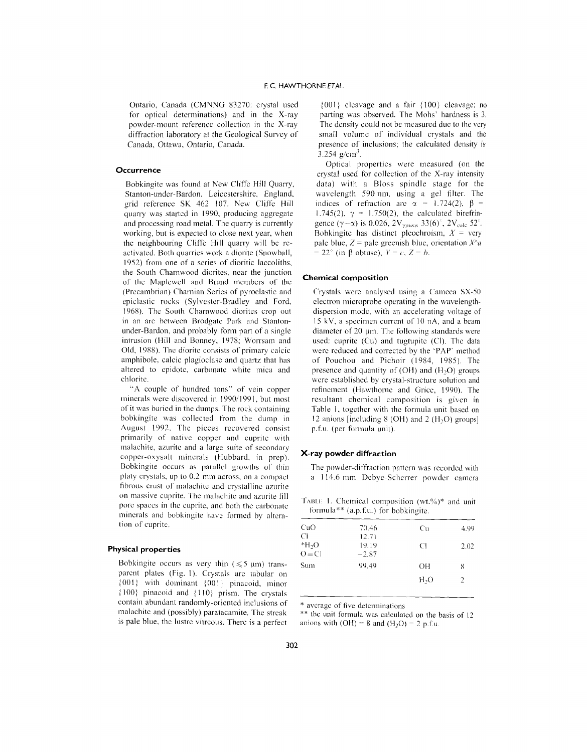Ontario, Canada (CMNNG 83270: crystal used for optical determinations) and in the X-ray powder-mount reference collection in the X-ray diffraction laboratory at the Geological Survey of Canada, Ottawa, Ontario, Canada.

# **Occurrence**

Bobkingite was found at New Cliffe Hill Quarry, Stanton-undcr-Bardon. Leiccstershire. England. grid reference SK 462 107. New Cliffe Hill quarry was startcd in 1990, producing aggregate and processing road metal. The quarry is currently working, but is expected to close next year, when the neighbouring Cliffe Hill quarry will be reactivated. Both quarries work a diorite (Snowball, 1952) from one of a series of dioritic laccoliths, the South Charnwood diorites, ncar the junction of thc Maplcwell and Brand members of the (Precambrian) Charnian Series of pyroclastic and epiclastic rocks (Sylvestcr-Bradley and Ford, 1968). The South Charnwood diorites crop out in an arc between Brodgate Park and Stantonunder-Bardon, and probably form part of a single intrusion (Hill and Bonney, 1978; Worrsam and Old, 1988). The dioritc consists of primary calcic amphibole, calcic plagioclase and quartz that has altered to cpidotc. carbonatc white mica and chlorite.

"A couple of hundred tons" of vein copper minerals were discovered in 1990/1991, but most of it was buried in the dumps. The rock containing bobkingite was collected from the dump in August 1992. The pieces recovered consist primarily of native copper and cuprite with malachite, azurite and a large suite of secondary copper-oxysalt minerals (Hubbard, in prep). Bobkingite occurs as parallel growths of thin platy crystals. up to 0.2 mm across. on a compact fibrous crust of malachite and crystalline azurite on massive cuprite. The malachite and azurite fill pore spaces in the cuprite. and both the carbonate minerals and bobkingite have formed by alteration of cuprite.

# **Physical properties**

Bobkingite occurs as very thin  $(\leq 5 \text{ }\mu\text{m})$  transparent plates (Fig. I). Crystals are tabular on {OOI: with dominant: 00 I} pinacoid, minor  ${100}$  pinacoid and  ${110}$  prism. The crystals contain abundant randomly-oriented inclusions of malachite and (possibly) paratacamite. The streak is pale blue, the lustre vitreous. There is a perfect

 ${001}$  cleavage and a fair  ${100}$  cleavage; no parting was observed. The Mohs' hardness is 3. The density could not be measured due to the very small volumc of individual crystals and the presence of inclusions; the calculated density is  $3.254$  g/cm<sup>3</sup>.

Optical properties were measured (on the crystal used for collection of the X-ray intensity data) with a Bloss spindle stage for the wavelength 590 nm, using a gel filter. The indices of refraction are  $\alpha = 1.724(2)$ ,  $\beta =$  $1.745(2)$ ,  $\gamma = 1.750(2)$ , the calculated birefrin gence  $(\gamma - \alpha)$  is 0.026, 2V<sub>ymeas</sub> 33(6)<sup>°</sup>, 2V<sub>calc</sub> 52<sup>°</sup>. Bobkingite has distinct pleochroism,  $X = \text{very}$ pale blue,  $Z =$  pale greenish blue, orientation  $X^{\wedge}a$  $= 22^{\circ}$  (in  $\beta$  obtuse),  $Y = c$ ,  $Z = b$ .

### **Chemical composition**

Crystals were analysed using a Cameca SX-50 electron microprobe operating in the wavelengthdispersion mode. with an accelerating voltage of 15 kV, a specimen current of 10 nA, and a beam diameter of  $20 \mu m$ . The following standards were used: cuprite (Cu) and tugtupite (CI). The data were reduced and corrected by the 'PAP' method of Pouchou and Pichoir (1984, 1985). The presence and quantity of (OH) and  $(H<sub>2</sub>O)$  groups were established by crystal-structure solution and refinement (Hawthome and Grice, 1990). The resultant chemical composition is given in Table 1. together with the formula unit based on 12 anions [including  $8$  (OH) and  $2$  (H<sub>2</sub>O) groups] p.f.u. (per formula unit).

#### **X-ray powder diffraction**

The powder-diffraction pattern was recorded with a 114.6 mm Dcbye-Schcrrer powder camera

|  | TABLE 1. Chemical composition $(wt,\%)^*$ and unit |  |  |
|--|----------------------------------------------------|--|--|
|  | formula** $(a.p.f.u.)$ for bobkingite.             |  |  |

| CuO           | 70.46   | Cп               | 4.99 |
|---------------|---------|------------------|------|
| C             | 12.71   |                  |      |
| $*H2O$        | 19.19   | CI               | 2.02 |
| $Q \equiv C1$ | $-2.87$ |                  |      |
| Sum           | 99.49   | OН               | 8    |
|               |         | H <sub>2</sub> O | 2    |
|               |         |                  |      |

average of five detcrminations

\*\* the unit formula was calculated on the basis of 12 anions with  $(OH) = 8$  and  $(H<sub>2</sub>O) = 2$  p.f.u.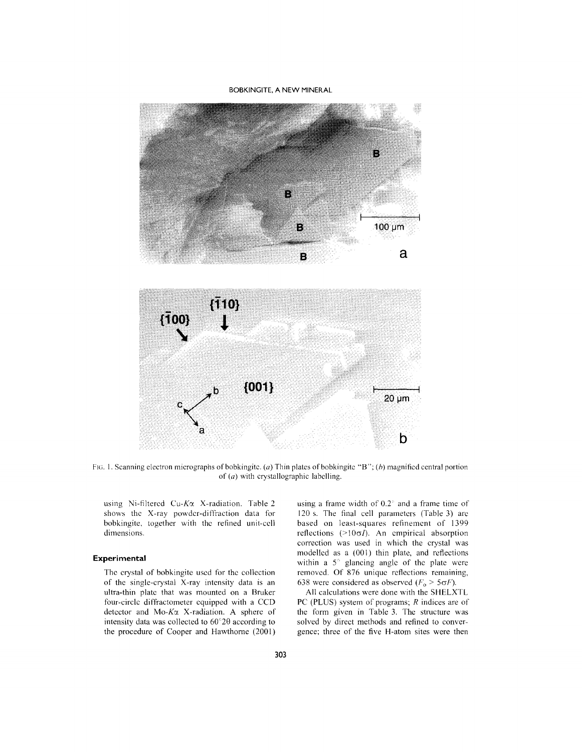BOBKINGITE, A NEW MINERAL



FIG. I. Scanning electron micrographs of bobkingitc. *(0)* Thin plates ofbobkingitc "8"; *(h)* magnified central portion of *(0)* with crystallographic labelling.

using Ni-filtered Cu-K $\alpha$  X-radiation. Table 2 shows thc X-ray powdcr-diffraction data for bobkingite. together with thc refined unit-ccll dimensions.

# **Experimental**

The crystal of bobkingite used for the collection of the single-crystal X-ray intensity data is an ultra-thin platc that was mounted on a Bruker four-circlc diffractometer cquipped with a CCO detector and Mo- $K\alpha$  X-radiation. A sphere of intensity data was collected to  $60^{\circ}2\theta$  according to the procedure of Cooper and Hawthorne (2001) using a frame width of  $0.2^\circ$  and a frame time of 120 s. The final cell parameters (Table 3) are based on least-squares refinemcnt of 1399 reflections  $(>10\sigma I)$ . An empirical absorption correction was used in which the crystal was modellcd as a (001) thin plate. and reflections within a *5"* glancing anglc of thc plate were removcd. Of 876 uniquc reflections remaining, 638 were considered as observed  $(F_0 > 5\sigma F)$ .

All calculations were done with the SHELXTL PC (PLUS) system of programs; *R* indices are of the form given in Table 3. The structure was solved by direct methods and refined to convergence; threc of the five H-atom sites were then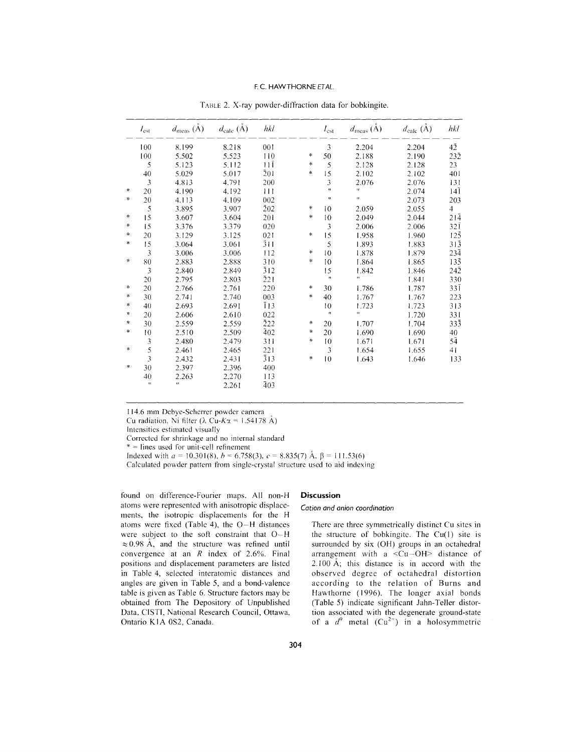# F.C. HAWTHORNE *ETAL.*

|           | $I_{\rm est}$  | $d_{\rm meas}$ $(\mathring{\rm A})$ | $d_{\text{calc}}(\check{A})$ | $h$ kl           |           | $I_{\rm est}$        | $d_{\text{meas}}(\tilde{A})$ | $d_{\text{calc}}(\tilde{A})$ | hkl              |
|-----------|----------------|-------------------------------------|------------------------------|------------------|-----------|----------------------|------------------------------|------------------------------|------------------|
|           | 100            | 8.199                               | 8.218                        | 001              |           | 3                    | 2.204                        | 2.204                        | 42               |
|           | 100            | 5.502                               | 5.523                        | 110              | *         | 50                   | 2.188                        | 2.190                        | $23\overline{2}$ |
|           | 5              | 5.123                               | 5.112                        | $11\bar{1}$      | *         | 5                    | 2.128                        | 2.128                        | 23               |
|           | 40             | 5.029                               | 5.017                        | $\bar{2}01$      | $\ast$    | 15                   | 2.102                        | 2.102                        | 401              |
|           | $\mathfrak{Z}$ | 4.813                               | 4.791                        | 200              |           | 3                    | 2.076                        | 2.076                        | 131              |
| *         | 20             | 4.190                               | 4.192                        | 111              |           | $\mathbf{u}$         | Ħ                            | 2.074                        | $14\overline{1}$ |
| *         | 20             | 4.113                               | 4.109                        | 002              |           | Ŧ,                   | H.                           | 2.073                        | 203              |
|           | 5              | 3.895                               | 3.907                        | 202              | $\star$   | 10                   | 2.059                        | 2.055                        | $\overline{4}$   |
| $\ast$    | 15             | 3.607                               | 3.604                        | 201              | $\ast$    | 10                   | 2.049                        | 2.044                        | 214              |
| $\ast$    | 15             | 3.376                               | 3.379                        | 020              |           | 3                    | 2.006                        | 2.006                        | $32\overline{1}$ |
| $\ast$    | 20             | 3.129                               | 3.125                        | 021              | *         | 15                   | 1.958                        | 1.960                        | $12\overline{5}$ |
| $\ast$    | 15             | 3.064                               | 3.061                        | $\overline{3}11$ |           | 5                    | 1.893                        | 1.883                        | $31\overline{3}$ |
|           | 3              | 3.006                               | 3.006                        | 112              | $\approx$ | 10                   | 1.878                        | 1.879                        | $23\bar{4}$      |
| $\ast$    | 80             | 2.883                               | 2.888                        | 310              | $\ast$    | 10                   | 1.864                        | 1.865                        | $13\bar{5}$      |
|           | 3              | 2.840                               | 2.849                        | $\overline{3}12$ |           | 15                   | 1.842                        | 1.846                        | 242              |
|           | 20             | 2.795                               | 2.803                        | $\bar{2}21$      |           | $\pmb{\mathfrak{u}}$ | H.                           | 1.841                        | 330              |
| *         | 20             | 2.766                               | 2.761                        | 220              | *         | 30                   | 1.786                        | 1.787                        | $33\bar{1}$      |
| *         | 30             | 2.741                               | 2.740                        | 003              | *         | 40                   | 1.767                        | 1.767                        | 223              |
| ∗         | 40             | 2.693                               | 2.691                        | $\overline{1}13$ |           | 10                   | 1.723                        | 1.723                        | 313              |
| $\approx$ | 20             | 2.606                               | 2.610                        | 022              |           | $\pmb{\mathsf{m}}$   | $\mathbf{H}$                 | 1.720                        | 331              |
| $\approx$ | 30             | 2.559                               | 2.559                        | 222              | *         | 20                   | 1.707                        | 1.704                        | 333              |
| $\ast$    | 10             | 2.510                               | 2.509                        | 402              | *         | 20                   | 1.690                        | 1.690                        | 40               |
|           | 3              | 2.480                               | 2.479                        | 311              | $\ast$    | 10                   | 1.671                        | 1.671                        | 54               |
| $\ast$    | 5              | 2.461                               | 2.465                        | 221              |           | 3                    | 1.654                        | 1.655                        | 41               |
|           | 3              | 2.432                               | 2.431                        | $\bar{3}13$      | *         | 10                   | 1.643                        | 1.646                        | 133              |
| *         | 30             | 2.397                               | 2.396                        | 400              |           |                      |                              |                              |                  |
|           | 40             | 2.263                               | 2.270                        | 113              |           |                      |                              |                              |                  |
|           | $\pmb{\ast}$   | st.                                 | 2.261                        | 403              |           |                      |                              |                              |                  |

TABLE 2. X-ray powder-diffraction data for bobkingite.

114.6 mm Debye-Scherrer powdcr camera

Cu radiation, Ni filter ( $\lambda$  Cu-K $\alpha$  = 1.54178 A)

Intensities estimatcd visually

Corrccted for shrinkage and no internal standard

\* = lines used for unit-cell refinement

Indexed with  $a = 10.301(8)$ ,  $b = 6.758(3)$ ,  $c = 8.835(7)$  Å,  $\beta = 111.53(6)$ 

Calculated powder pattern from single-crystal structure used to aid indexing

found on difference-Fourier maps. All non-H atoms were represented with anisotropic displacements, the isotropic displacements for the H atoms were fixed (Table 4), the O-H distances were subject to the soft constraint that  $O-H$  $\approx 0.98$  Å, and the structure was refined until convergence at an *R* index of 2.6%. Final positions and displacement parameters are listed in Table 4, selected interatomic distances and angles are given in Table 5, and a bond-valence table is given as Table 6. Structure factors may be obtained from The Depository of Unpublished Data, CISTI, National Research Council, Ottawa, Ontario K1A 0S2, Canada.

### **Discussion**

# *Cation and anion coordination*

There are three symmetrically distinct Cu sites in the structure of bobkingite. The  $Cu(1)$  site is surrounded by six (OH) groups in an octahedral arrangement with a <Cu-OH> distance of 2. I00 A; this distance is in accord with the observed degree of octahedral distortion according to the relation of Burns and Hawthorne (1996). The longer axial bonds (Table 5) indicate significant Jahn- Teller distortion associated with the degenerate ground-state of a  $d^9$  metal  $(Cu^{2+})$  in a holosymmetric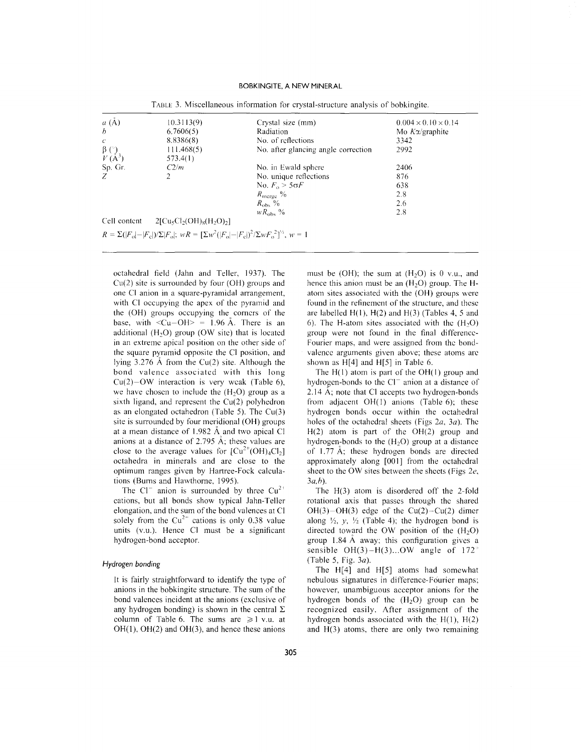# BOBKINGITE, A NEW MINERAL

| $a(\AA)$                           | 10.3113(9)                                                                                             | Crystal size (mm)                   | $0.004 \times 0.10 \times 0.14$ |
|------------------------------------|--------------------------------------------------------------------------------------------------------|-------------------------------------|---------------------------------|
| $\boldsymbol{b}$                   | 6,7606(5)                                                                                              | Radiation                           | Mo $K\alpha$ /graphite          |
| C.                                 | 8.8386(8)                                                                                              | No. of reflections                  | 3342                            |
|                                    | 111.468(5)                                                                                             | No. after glancing angle correction | 2992                            |
| $\frac{\beta}{V}$ $\binom{8}{A^3}$ | 573.4(1)                                                                                               |                                     |                                 |
| Sp. Gr.                            | C2/m                                                                                                   | No. in Ewald sphere                 | 2406                            |
|                                    | $\overline{2}$                                                                                         | No. unique reflections              | 876                             |
|                                    |                                                                                                        | No. $F_0 \geq 5\sigma F$            | 638                             |
|                                    |                                                                                                        | $R_{\text{merge}}$ %                | 2.8                             |
|                                    |                                                                                                        | $R_{\rm obs}$ %                     | 2.6                             |
|                                    |                                                                                                        | $WR_{\rm obs}$ %                    | 2.8                             |
| Cell content                       | $2[Cu_5Cl_2(OH)_8(H_2O)_2]$                                                                            |                                     |                                 |
|                                    | $R = \sum ( F_o  -  F_c )/\sum  F_o $ ; $wR = [\sum w^2( F_o  -  F_c )^2/\sum wF_o^2]^{1/2}$ , $w = 1$ |                                     |                                 |

TABLE3. Miscellaneous information for crystal-structure analysis of bobkingite.

octahedral field (Jahn and Teller, 1937). The Cu(2) site is surrounded by four (OH) groups and one CI anion in a square-pyramidal arrangement, with CI occupying the apex of the pyramid and the (OH) groups occupying the comers of the base, with  $\langle Cu-OH \rangle = 1.96$  Å. There is an additional  $(H<sub>2</sub>O)$  group (OW site) that is located in an extreme apical position on the other side of the square pyramid opposite the CI position, and lying 3.276 A from the Cu(2) site. Although the bond valence associated with this long  $Cu(2)-OW$  interaction is very weak (Table 6), we have chosen to include the  $(H<sub>2</sub>O)$  group as a sixth ligand, and represent the Cu(2) polyhedron as an elongated octahedron (Table 5). The Cu(3) site is surrounded by four meridional (OH) groups at <sup>a</sup> mean distance of 1.982 A and two apical CI anions at a distance of 2.795 A; these values are close to the average values for  $[Cu^{2+}(OH)_4Cl_2]$ octahedra in minerals and arc close to the optimum ranges given by Hartree-Fock calculations (Bums and Hawthorne, 1995).

The Cl<sup>-</sup> anion is surrounded by three  $Cu^{2+}$ cations, but all bonds show typical Jahn- Teller elongation, and the sum of the bond valences at CI solely from the  $Cu^{2+}$  cations is only 0.38 value units (v.u.). Hence CI must be a significant hydrogen-bond acceptor.

# Hydrogen bonding

It is fairly straightforward to identify the type of anions in the bobkingite structure. The sum of the bond valences incident at the anions (exclusive of any hydrogen bonding) is shown in the central  $\Sigma$ column of Table 6. The sums are  $\geq 1$  v.u. at OH(1), OH(2) and OH(3), and hence these anions

must be (OH); the sum at  $(H<sub>2</sub>O)$  is 0 v.u., and hence this anion must be an  $(H<sub>2</sub>O)$  group. The Hatom sites associated with the (OH) groups were found in the refinement of the structure, and these are labelled  $H(1)$ ,  $H(2)$  and  $H(3)$  (Tables 4, 5 and 6). The H-atom sites associated with the  $(H<sub>2</sub>O)$ group were not found in the final difference-Fourier maps, and were assigned from the bondvalence arguments given above; these atoms arc shown as H[4] and H[5] in Table 6.

The  $H(1)$  atom is part of the  $OH(1)$  group and hydrogen-bonds to the  $Cl^-$  anion at a distance of 2.14 A; note that CI accepts two hydrogen-bonds from adjacent  $OH(1)$  anions (Table 6); these hydrogen bonds occur within the octahedral holes of the octahedral sheets (Figs *2a, 3a).* The H(2) atom is part of the OH(2) group and hydrogen-bonds to the  $(H<sub>2</sub>O)$  group at a distance of 1.77 A; these hydrogen bonds are directed approximately along [001] from the octahedral sheet to the OW sites between the sheets (Figs *2e, 3a,h).*

The H(3) atom is disordered off the 2-fold rotational axis that passes through the shared  $OH(3)-OH(3)$  edge of the Cu(2)-Cu(2) dimer along  $\frac{1}{2}$ ,  $y$ ,  $\frac{1}{2}$  (Table 4); the hydrogen bond is directed toward the OW position of the  $(H<sub>2</sub>O)$ group 1.84 A away; this configuration gives <sup>a</sup> sensible  $OH(3)-H(3)...OW$  angle of 172<sup>°</sup> (Table 5, Fig. *3a).*

The H[4] and H[5] atoms had somewhat nebulous signatures in difference-Fourier maps; however, unambiguous acceptor anions for the hydrogen bonds of the  $(H<sub>2</sub>O)$  group can be recognized easily. After assignment of the hydrogen bonds associated with the  $H(1)$ ,  $H(2)$ and H(3) atoms, there are only two remaining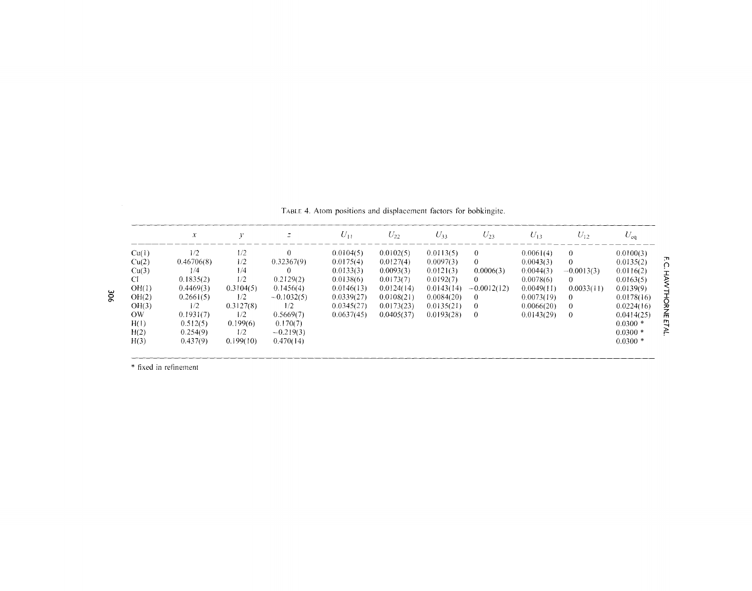|       | $\chi$     |           |              | $U_{11}$   | $U_{22}$   | $U_{33}$   | $U_{23}$      | $U_{13}$   | $U_{12}$     | $U_{eq}$   |
|-------|------------|-----------|--------------|------------|------------|------------|---------------|------------|--------------|------------|
| Cu(1) | 1/2        | 1/2       | $\Omega$     | 0.0104(5)  | 0.0102(5)  | 0.0113(5)  | $\Omega$      | 0.0061(4)  | $\Omega$     | 0.0100(3)  |
| Cu(2) | 0.46706(8) | 1/2       | 0.32367(9)   | 0.0175(4)  | 0.0127(4)  | 0.0097(3)  | $\Omega$      | 0.0043(3)  | $\Omega$     | 0.0135(2)  |
| Cu(3) | 1/4        | 1/4       |              | 0.0133(3)  | 0.0093(3)  | 0.0121(3)  | 0.0006(3)     | 0.0044(3)  | $-0.0013(3)$ | 0.0116(2)  |
| CI    | 0.1835(2)  | 1/2       | 0.2129(2)    | 0.0138(6)  | 0.0173(7)  | 0.0192(7)  | $\Omega$      | 0.0078(6)  | $\Omega$     | 0.0163(5)  |
| OH(1) | 0.4469(3)  | 0.3104(5) | 0.1456(4)    | 0.0146(13) | 0.0124(14) | 0.0143(14) | $-0.0012(12)$ | 0.0049(11) | 0.0033(11)   | 0.0139(9)  |
| OH(2) | 0.2661(5)  | 1/2       | $-0.1032(5)$ | 0.0339(27) | 0.0108(21) | 0.0084(20) | $\theta$      | 0.0073(19) | $\theta$     | 0.0178(16) |
| OH(3) | 1/2        | 0.3127(8) | 1/2          | 0.0345(27) | 0.0173(23) | 0.0135(21) | $\Omega$      | 0.0066(20) | $\Omega$     | 0.0224(16) |
| OW    | 0.1931(7)  | 1/2       | 0.5669(7)    | 0.0637(45) | 0.0405(37) | 0.0193(28) | $\Omega$      | 0.0143(29) | $\theta$     | 0.0414(25) |
| H(1)  | 0.512(5)   | 0.199(6)  | 0.170(7)     |            |            |            |               |            |              | $0.0300*$  |
| H(2)  | 0.254(9)   | 1/2       | $-0.219(3)$  |            |            |            |               |            |              | $0.0300*$  |
| H(3)  | 0.437(9)   | 0.199(10) | 0.470(14)    |            |            |            |               |            |              | $0.0300*$  |

TABLE 4. Atom positions and displacement factors for bobkingite.

\* fixed in refinement

306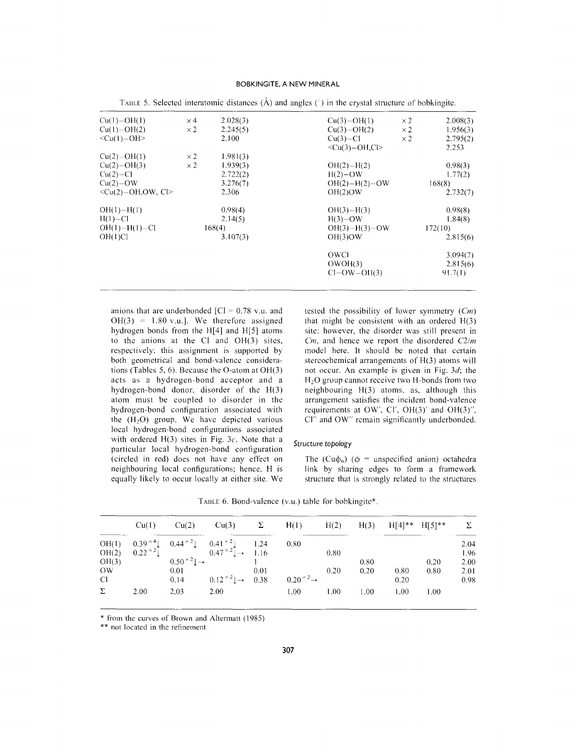# BOBKINGITE. A NEW MINERAL

| $Cu(1)-OH(1)$              | $\times$ 4 | 2.028(3) | $Cu(3)-OH(1)$          | $\times 2$ | 2.008(3) |
|----------------------------|------------|----------|------------------------|------------|----------|
| $Cu(1)-OH(2)$              | $\times 2$ | 2.245(5) | $Cu(3)-OH(2)$          | $\times 2$ | 1.956(3) |
| $\langle Cu(1)-OH \rangle$ |            | 2.100    | $Cu(3)-Cl$             | $\times 2$ | 2.795(2) |
|                            |            |          | $\langle Cu(3)-OH.C >$ |            | 2.253    |
| $Cu(2)-OH(1)$              | $\times 2$ | 1.981(3) |                        |            |          |
| $Cu(2)-OH(3)$              | $\times 2$ | 1.939(3) | $OH(2) - H(2)$         |            | 0.98(3)  |
| $Cu(2)-Cl$                 |            | 2.722(2) | $H(2)-OW$              |            | 1.77(2)  |
| $Cu(2)-OW$                 |            | 3.276(7) | $OH(2)-H(2)-OW$        |            | 168(8)   |
| $\leq$ Cu(2)-OH.OW. Cl>    |            | 2.306    | OH(2)OW                |            | 2.732(7) |
| $OH(1) - H(1)$             |            | 0.98(4)  | $OH(3) - H(3)$         |            | 0.98(8)  |
| $H(1) - Cl$                |            | 2.14(5)  | $H(3)-OW$              |            | 1.84(8)  |
| $OH(1) - H(1) - Cl$        |            | 168(4)   | $OH(3)-H(3)-OW$        |            | 172(10)  |
| OH(1)Cl                    |            | 3.107(3) | OH(3)OW                |            | 2.815(6) |
|                            |            |          | OWCI                   |            | 3.094(7) |
|                            |            |          | OWOH(3)                |            | 2.815(6) |
|                            |            |          | $Cl-OW-OH(3)$          |            | 91.7(1)  |
|                            |            |          |                        |            |          |

TABLE 5. Selected interatomic distances (Å) and angles (°) in the crystal structure of bobkingite.

anions that are underbonded  $|Cl = 0.78$  v.u. and  $OH(3) = 1.80$  v.u.]. We therefore assigned hydrogen bonds from the H[4] and H[5] atoms to the anions at the Cl and  $OH(3)$  sites, respectively; this assignment is supported by both geometrical and bond-valence considerations (Tables 5, 6). Because the O-atom at OH(3) acts as a hydrogen-bond acceptor and a hydrogen-bond donor, disorder of the H(3) atom must be coupled to disorder in the hydrogen-bond configuration associated with the  $(H<sub>2</sub>O)$  group. We have depicted various local hydrogen-bond configurations associated with ordered H(3) sites in Fig. *3c.* Note that a particular local hydrogen-bond configuration (circled in red) does not have any effect on neighbouring local configurations; hence, H is equally likely to occur locally at either site. We tested the possibility of lower symmetry *(Cm)* that might be consistent with an ordered H(3) site; however, the disorder was still present in *Cm,* and hence we report the disordered *C2/m* model here. It should be noted that certain stereochemical arrangements of H(3) atoms will not occur. An example is given in Fig. *3d;* the H20 group cannot receive two H-bonds from two neighbouring H(3) atoms, as, although this arrangement satisfies the incident bond-valence requirements at OW', Cl', OH $(3)'$  and OH $(3)''$ , Cl" and OW" remain significantly underbonded.

# Structure *topology*

The (Cu $\phi_6$ ) ( $\phi$  = unspecified anion) octahedra link by sharing edges to form a framework structure that is strongly related to the structures

| TABLE 6. Bond-valence (v.u.) table for bobkingite*. |  |  |  |  |  |  |
|-----------------------------------------------------|--|--|--|--|--|--|
|-----------------------------------------------------|--|--|--|--|--|--|

|           | Cu(1) | Cu(2)                                    | Cu(3)                                                                                                            | $\Sigma$ | H(1)                        | H(2) | H(3) |      | $H[4]^{**}$ $H[5]^{**}$ |      |
|-----------|-------|------------------------------------------|------------------------------------------------------------------------------------------------------------------|----------|-----------------------------|------|------|------|-------------------------|------|
| OH(1)     |       |                                          | $0.39 \times 4$ $0.44 \times 2$ $0.41 \times 2$ $1.24$<br>$0.22 \times 2$ $0.47 \times 2$ $0.47 \times 2$ $1.16$ |          | 0.80                        |      |      |      |                         | 2.04 |
| OH(2)     |       |                                          |                                                                                                                  |          |                             | 0.80 |      |      |                         | 1.96 |
| OH(3)     |       | $0.50 \times 2$ $\downarrow \rightarrow$ |                                                                                                                  |          |                             |      | 0.80 |      | 0.20                    | 2.00 |
| <b>OW</b> |       | 0.01                                     |                                                                                                                  | 0.01     |                             | 0.20 | 0.20 | 0.80 | 0.80                    | 2.01 |
| Cl.       |       | 0.14                                     | $0.12 \times 2$ $\downarrow \rightarrow 0.38$                                                                    |          | $0.20 \times 2 \rightarrow$ |      |      | 0.20 |                         | 0.98 |
| Σ         | 2.00  | 2.03                                     | 2.00                                                                                                             |          | 00.1                        | 1.00 | 1.00 | 1.00 | 1.00                    |      |

from the curves of Brown and Altermatt (1985)

\*\* not located in the refinement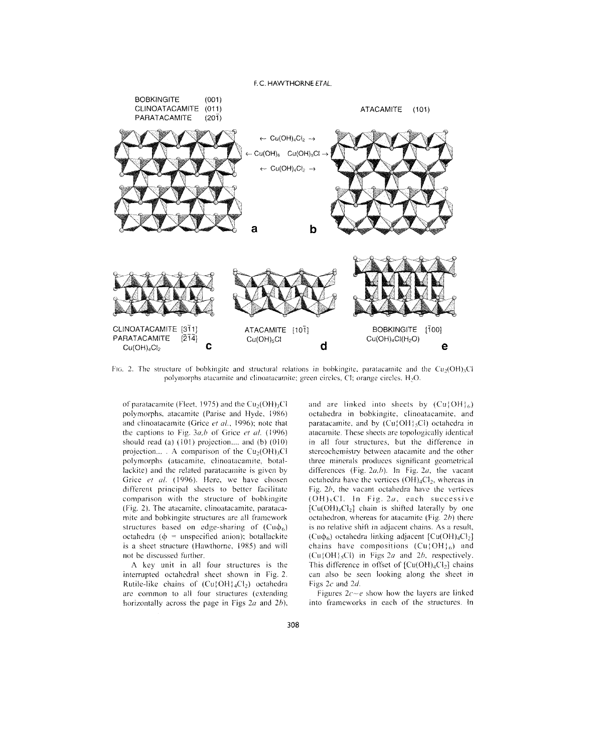F.C. HAWTHORNE *ET AL.*



FIG. 2. The structure of bobkingite and structural relations in bobkingite, paratacamite and the Cu<sub>2</sub>(OH)<sub>3</sub>Cl polymorphs atacamite and clinoatacamite; green circles, CI; orange circles,  $H_2O$ .

of paratacamite (Fleet, 1975) and the  $Cu<sub>2</sub>(OH)<sub>3</sub>Cl$ polymorphs, atacamite (Parise and Hyde. 19R6) and clinoatacamite (Grice *et al.*, 1996); note that the captions to Fig.  $3a,b$  of Grice *et al.* (1996) should read (a)  $(101)$  projection.... and (b)  $(010)$ projection... . A comparison of the  $Cu<sub>2</sub>(OH)<sub>3</sub>Cl$ polymorphs (atacamite, clinoatacamite, botallackite) and the related paratacamite is given by Grice *et al.* (1996). Here, we have chosen different principal sheets to better facilitate comparison with the structure of bobkingite (Fig. 2). The atacamitc, clinoatacamitc, paratacamite and bobkingite structures are all framework structures based on edge-sharing of  $(Cu\phi_6)$ octahedra ( $\phi$  = unspecified anion); botallackite is a sheet structure (Hawthorne, 1985) and will not be discussed further.

A key unit in all four structures is the interrupted octahedral sheet shown in Fig. 2. Rutile-like chains of  $(Cu\{OH\} _{4}Cl_{2})$  octahedra are common to all four structures (extending horizontally across the page in Figs *2a* and *2h),*

and are linked into sheets by  $(Cu\{OH\}_6)$ octahedra in bobkingite, clinoatacamite, and paratacamite, and by  $(Cu\{OH\} {}_5Cl)$  octahedra in atacamite. These sheets are topologically identical in all four structures, but the difference in stereochemistry between atacamite and the other three minerals produces significant geometrical differences (Fig. 2a, b). In Fig. 2a, the vacant octahedra have the vertices  $(OH)_4Cl_2$ , whereas in Fig.  $2b$ , the vacant octahedra have the vertices  $(OH)_{5}Cl.$  In Fig. 2a, each successive  $[Cu(OH)<sub>4</sub>Cl<sub>2</sub>]$  chain is shifted laterally by one octahedron, whereas for atacamite (Fig. *2b)* there is no relative shift in adjacent chains. As a result,  $(Cu\phi_6)$  octahedra linking adjacent  $[Cu(OH)_4Cl_2]$ chains have compositions  $(Cu\{OH\}_6)$  and  $(Cu\{OH\} _5Cl)$  in Figs 2*a* and 2*b*, respectively. This difference in offset of  ${Cu(OH)_4Cl_2}$  chains can also be seen looking along the sheet in Figs *2c* and *2d.*

Figures *2c~e* show how the layers are linked into frameworks in each of the structures. In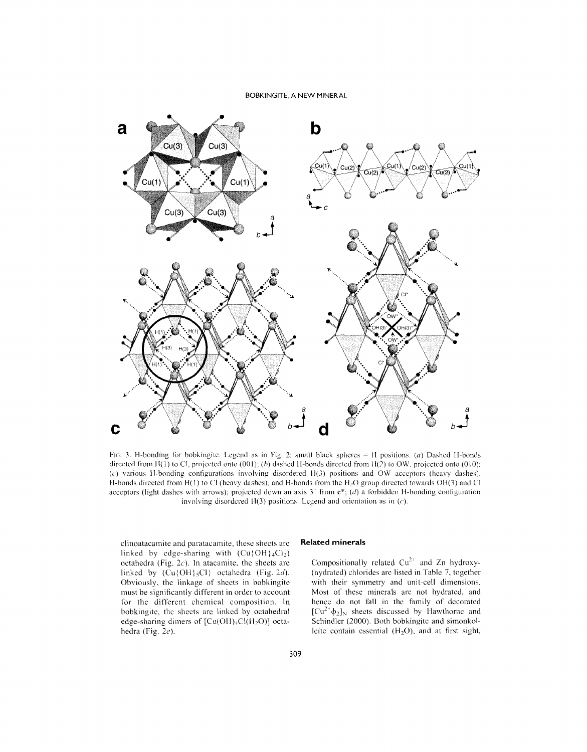# BOBKINGITE, A NEW MINERAL



FIG. 3. H-bonding for bobkingite. Legend as in Fig. 2; small black spheres = H positions. *(a)* Dashed H-bonds directed from H(l) to CI, projected onto (001); *(h)* dashed H-bonds directed from H(2) to OW, projected onto (010); *(c)* various H-bonding configurations involving disordered H(3) positions and OW acceptors (heavy dashes). H-bonds directed from H(1) to Cl (heavy dashes), and H-bonds from the H<sub>2</sub>O group directed towards OH(3) and Cl acceptors (light dashes with arrows); projected down an axis  $3<sup>o</sup>$  from  $c<sup>*</sup>$ ; *(d)* a forbidden H-bonding configuration involving disordered H(3) positions. Legend and orientation as in *(c).*

clinoataeamite and paratacamite, these sheets arc linked by edge-sharing with  $(Cu\{OH\} {}_{4}Cl_{2})$ octahedra (Fig. *2c).* In atacamite, the sheets arc linked by  $(Cu\{OH\}_5Cl)$  octahedra (Fig. 2d). Obviously, the linkage of sheets in bobkingite must be significantly different in order to account for the different chemical composition. In bobkingite, the sheets are linked by octahedral edge-sharing dimers of  $[Cu(OH)<sub>4</sub>Cl(H<sub>2</sub>O)]$  octahedra (Fig. *2e).*

# **Related minerals**

Compositionally related  $Cu^{2+}$  and Zn hydroxy-(hydrated) chlorides are listed in Table 7, together with their symmetry and unit-cell dimensions. Most of these minerals are not hydrated, and hence do not fall in the family of decorated  $[Cu^{2+}\phi_2]_N$  sheets discussed by Hawthorne and Schindler (2000). Both bobkingite and simonkol leite contain essential  $(H<sub>2</sub>O)$ , and at first sight,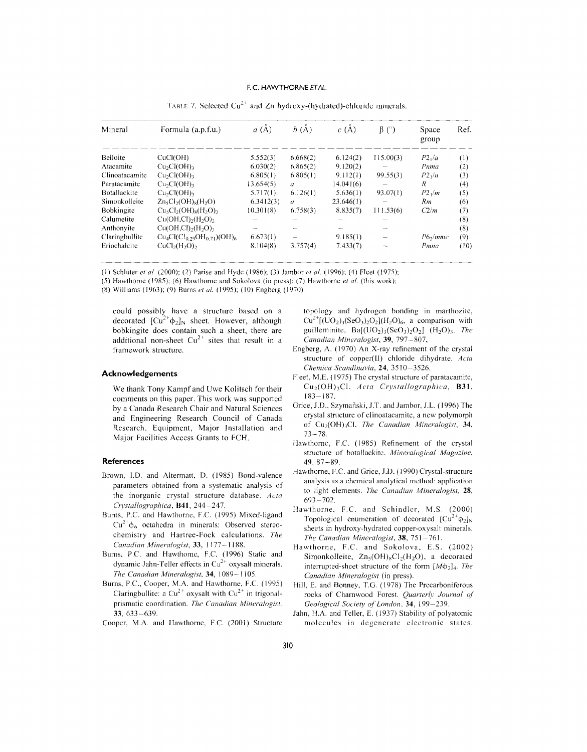| Mineral           | Formula (a.p.f.u.)                             | a(A)      | b(A)             | c(A)      | $\beta$ (°) | Space<br>group | Ref. |
|-------------------|------------------------------------------------|-----------|------------------|-----------|-------------|----------------|------|
| Belloite          | CuCl(OH)                                       | 5.552(3)  | 6,668(2)         | 6.124(2)  | 115.00(3)   | $P2_1/a$       | (1)  |
| Atacamite         | Cu <sub>2</sub> Cl(OH) <sub>3</sub>            | 6.030(2)  | 6,865(2)         | 9.120(2)  |             | Pnma           | (2)  |
| Clinoatacamite    | Cu <sub>2</sub> Cl(OH) <sub>3</sub>            | 6.805(1)  | 6,805(1)         | 9.112(1)  | 99.55(3)    | $P2_1/n$       | (3)  |
| Paratacamite      | Cu <sub>2</sub> Cl(OH) <sub>3</sub>            | 13.654(5) | $\mathfrak a$    | 14.041(6) |             | R              | (4)  |
| Botallackite      | Cu <sub>2</sub> Cl(OH) <sub>3</sub>            | 5.717(1)  | 6.126(1)         | 5.636(1)  | 93.07(1)    | $P2\sqrt{m}$   | (5)  |
| Simonkolleite     | $Zn_5Cl_2(OH)_8(H_2O)$                         | 6.3412(3) | $\boldsymbol{a}$ | 23.646(1) |             | Rm             | (6)  |
| <b>Bobkingite</b> | $Cu5Cl2(OH)8(H2O)2$                            | 10.301(8) | 6.758(3)         | 8.835(7)  | 111.53(6)   | C2/m           | (7)  |
| Calumetite        | $Cu(OH,Cl)$ <sub>2</sub> $(H, O)$ <sub>2</sub> |           |                  |           |             |                | (8)  |
| Anthonyite        | $Cu(OH,Cl)$ <sub>2</sub> $(H2O)$ <sub>3</sub>  |           |                  |           |             |                | (8)  |
| Claringbullite    | $Cu_4Cl(Cl_{0.29}OH_{0.71})(OH)_{6}$           | 6.673(1)  |                  | 9.185(1)  |             | $P6\sqrt{mmc}$ | (9)  |
| Eriochalcite      | $CuCl2(H2O)2$                                  | 8.104(8)  | 3.757(4)         | 7.433(7)  |             | Pmna           | (10) |

TABLE 7. Selected  $Cu^{2+}$  and Zn hydroxy-(hydrated)-chloride minerals.

(I) Schluter *et at.* (2000); (2) Parise and Hyde (1986); (3) Jambor *et al.* (1996); (4) Fleet (1975);

(5) Hawthorne (1985); (6) Hawthorne and Sokolova (in press); (7) Hawthorne *et al.* (this work);

(8) Williams (1963); (9) Burns *et al.* (1995); (10) Engberg (1970)

could possibly have a structure based on a decorated  $\left[\text{Cu}^{2+}\phi_2\right]_N$  sheet. However, although bobkingite does contain such a sheet, there are additional non-sheet  $Cu^{2+}$  sites that result in a framework structure.

# Acknowledgements

We thank Tony Kampf and Uwe Kolitsch for their comments on this paper. This work was supported by a Canada Research Chair and Natural Sciences and Engineering Research Council of Canada Research, Equipment, Major Installation and Major Facilities Access Grants to FCH.

# **References**

- Brown, J.D. and Altermatt, D. (1985) Bond-valence parameters obtained from a systematic analysis of the inorganic crystal structure database. *Acta Crystal/ofiraphica,* 841,244-247.
- Burns, P.C. and Hawthorne, F.C. (1995) Mixed-ligand  $Cu^{2+}\phi_6$  octahedra in minerals: Observed stereochemistry and Hartree-Fock calculations. *The Canadian Mineralofiist,* 33, 1177-1188.
- Burns, P.C. and Hawthorne, F.C. (1996) Static and dynamic Jahn-Teller effects in  $Cu<sup>2+</sup>$  oxysalt minerals. *The Canadian Mineralogist,* 34, 1089-1105.
- Burns, P.C., Cooper, M.A. and Hawthorne, F.C. (1995) Claringbullite: a  $Cu^{2+}$  oxysalt with  $Cu^{2+}$  in trigonal prismatic coordination. *The Canadian Mineralogist.* 33, 633-639.
- Cooper, M.A. and Hawthorne, F.C. (2001) Structure

topology and hydrogen bonding in marthozite,  $Cu^{2+}[(UO<sub>2</sub>)<sub>3</sub>(SeO<sub>3</sub>)<sub>2</sub>O<sub>2</sub>](H<sub>2</sub>O)<sub>6</sub>, a comparison with$ guilleminite,  $Ba[(UO<sub>2</sub>)<sub>3</sub>(SeO<sub>3</sub>)<sub>2</sub>O<sub>2</sub>]$  (H<sub>2</sub>O)<sub>3</sub>. The *Canadian Mineralogist,* 39, 797-807,

- Engberg, A. (1970) An X-ray refinement of the crystal structure of copper(II) chloride dihydrate. Acta *Chemica Scandinavia,* 24, 3510-3526.
- Fleet, M.E. (1975) The crystal structure of paratacamite,  $Cu<sub>2</sub>(OH)<sub>3</sub>Cl$ . *Acta Crystallographica*, **B31**,  $183 - 187$ .
- Grice, J.D., Szymanski, J.T. and Jambor, J.L. (1996) The crystal structure of clinoatacamite, a new polymorph of Cu<sub>2</sub>(OH)<sub>3</sub>Cl. *The Canadian Mineralogist*, 34, 73-78.
- Hawthorne, F.C. (1985) Refinement of the crystal structure of botallackite. *Mineralogical Magazine,* 49,87-89.
- Hawthorne, F.C. and Grice, J.D. (1990) Crystal-structure analysis as a chemical analytical method: application to light elements. *The Canadian Mineralogist*, 28, 693-702.
- Hawthorne, F.C. and Schindler, M.S. (2000) Topological enumeration of decorated  $[Cu^{2+}\phi_2]_N$ sheets in hydroxy-hydrated copper-oxysalt minerals. *The Canadian Mineralofiist,* 38, 751-761.
- Hawthorne, F.C. and Sokolova, E.S. (2002) Simonkolleite,  $Zn_5(OH)_8Cl_2(H_2O)$ , a decorated interrupted-sheet structure of the form  $[M\phi_2]_4$ . The *Canadian Mineralogist* (in press).
- Hill, E. and Bonney, T.G. (1978) The Precarboniferous rocks of Charnwood Forest. *Quarterlv Journal of Geological Society olLondon,* 34,199-239.
- Jahn, H.A. and Teller, E. (1937) Stability of polyatomic molecules in degenerate electronic states.